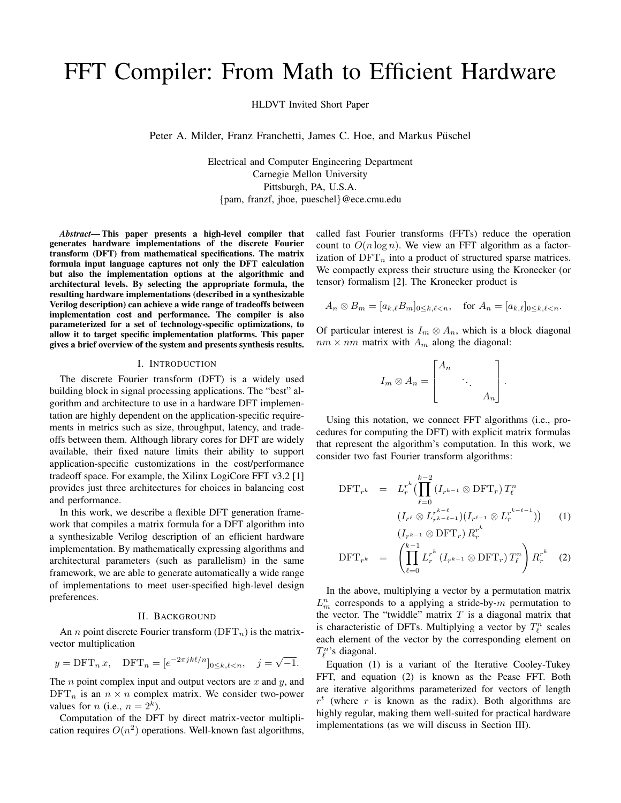# FFT Compiler: From Math to Efficient Hardware

HLDVT Invited Short Paper

Peter A. Milder, Franz Franchetti, James C. Hoe, and Markus Püschel

Electrical and Computer Engineering Department Carnegie Mellon University Pittsburgh, PA, U.S.A. {pam, franzf, jhoe, pueschel}@ece.cmu.edu

*Abstract***— This paper presents a high-level compiler that generates hardware implementations of the discrete Fourier transform (DFT) from mathematical specifications. The matrix formula input language captures not only the DFT calculation but also the implementation options at the algorithmic and architectural levels. By selecting the appropriate formula, the resulting hardware implementations (described in a synthesizable Verilog description) can achieve a wide range of tradeoffs between implementation cost and performance. The compiler is also parameterized for a set of technology-specific optimizations, to allow it to target specific implementation platforms. This paper gives a brief overview of the system and presents synthesis results.**

#### I. INTRODUCTION

The discrete Fourier transform (DFT) is a widely used building block in signal processing applications. The "best" algorithm and architecture to use in a hardware DFT implementation are highly dependent on the application-specific requirements in metrics such as size, throughput, latency, and tradeoffs between them. Although library cores for DFT are widely available, their fixed nature limits their ability to support application-specific customizations in the cost/performance tradeoff space. For example, the Xilinx LogiCore FFT v3.2 [1] provides just three architectures for choices in balancing cost and performance.

In this work, we describe a flexible DFT generation framework that compiles a matrix formula for a DFT algorithm into a synthesizable Verilog description of an efficient hardware implementation. By mathematically expressing algorithms and architectural parameters (such as parallelism) in the same framework, we are able to generate automatically a wide range of implementations to meet user-specified high-level design preferences.

## II. BACKGROUND

An *n* point discrete Fourier transform  $(DFT_n)$  is the matrixvector multiplication

$$
y = \text{DFT}_n x, \quad \text{DFT}_n = [e^{-2\pi jk\ell/n}]_{0 \le k,\ell < n}, \quad j = \sqrt{-1}.
$$

The  $n$  point complex input and output vectors are  $x$  and  $y$ , and  $\text{DFT}_n$  is an  $n \times n$  complex matrix. We consider two-power values for *n* (i.e.,  $n = 2<sup>k</sup>$ ).

Computation of the DFT by direct matrix-vector multiplication requires  $O(n^2)$  operations. Well-known fast algorithms, called fast Fourier transforms (FFTs) reduce the operation count to  $O(n \log n)$ . We view an FFT algorithm as a factorization of  $DFT_n$  into a product of structured sparse matrices. We compactly express their structure using the Kronecker (or tensor) formalism [2]. The Kronecker product is

$$
A_n \otimes B_m = [a_{k,\ell} B_m]_{0 \le k,\ell < n}, \quad \text{for } A_n = [a_{k,\ell}]_{0 \le k,\ell < n}.
$$

Of particular interest is  $I_m \otimes A_n$ , which is a block diagonal  $nm \times nm$  matrix with  $A_m$  along the diagonal:

$$
I_m \otimes A_n = \begin{bmatrix} A_n & & \\ & \ddots & \\ & & A_n \end{bmatrix}.
$$

Using this notation, we connect FFT algorithms (i.e., procedures for computing the DFT) with explicit matrix formulas that represent the algorithm's computation. In this work, we consider two fast Fourier transform algorithms:

$$
\text{DFT}_{r^k} = L_r^{r^k} \left( \prod_{\ell=0}^{k-2} \left( I_{r^{k-1}} \otimes \text{DFT}_r \right) T_\ell^n \right)
$$

$$
\left( I_{r^\ell} \otimes L_{r^{k-\ell-1}}^{r^{k-\ell}} \right) \left( I_{r^{\ell+1}} \otimes L_r^{r^{k-\ell-1}} \right) \right) \qquad (1)
$$

$$
\left( I_{r^{k-1}} \otimes \text{DFT}_r \right) R_r^{r^k}
$$

$$
\text{DFT}_{r^k} = \left( \prod_{\ell=0}^{k-1} L_r^{r^k} \left( I_{r^{k-1}} \otimes \text{DFT}_r \right) T_\ell^n \right) R_r^{r^k} \quad (2)
$$

In the above, multiplying a vector by a permutation matrix  $L_m^n$  corresponds to a applying a stride-by- $m$  permutation to the vector. The "twiddle" matrix  $T$  is a diagonal matrix that is characteristic of DFTs. Multiplying a vector by  $T_{\ell}^{n}$  scales each element of the vector by the corresponding element on  $T_{\ell}^{n}$ 's diagonal.

Equation (1) is a variant of the Iterative Cooley-Tukey FFT, and equation (2) is known as the Pease FFT. Both are iterative algorithms parameterized for vectors of length  $r<sup>t</sup>$  (where r is known as the radix). Both algorithms are highly regular, making them well-suited for practical hardware implementations (as we will discuss in Section III).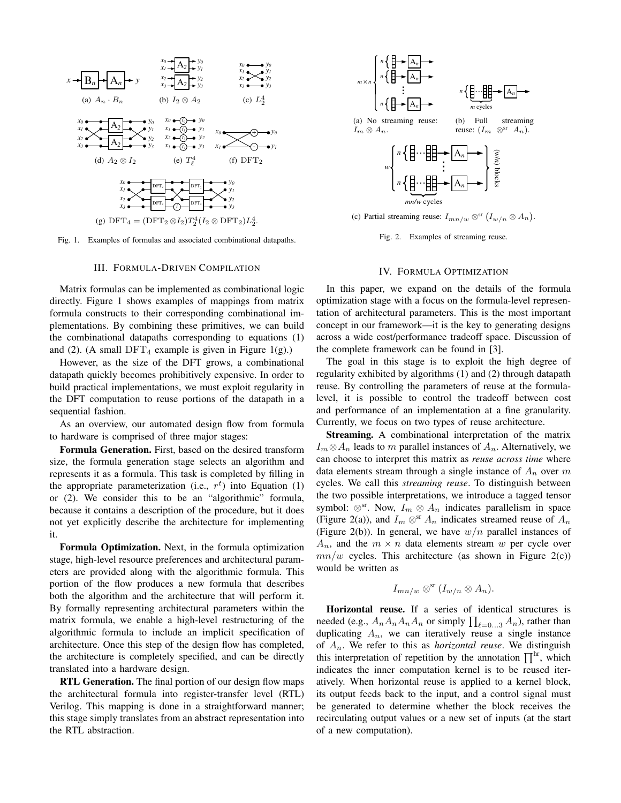

Fig. 1. Examples of formulas and associated combinational datapaths.

## III. FORMULA-DRIVEN COMPILATION

Matrix formulas can be implemented as combinational logic directly. Figure 1 shows examples of mappings from matrix formula constructs to their corresponding combinational implementations. By combining these primitives, we can build the combinational datapaths corresponding to equations (1) and (2). (A small  $DFT_4$  example is given in Figure 1(g).)

However, as the size of the DFT grows, a combinational datapath quickly becomes prohibitively expensive. In order to build practical implementations, we must exploit regularity in the DFT computation to reuse portions of the datapath in a sequential fashion.

As an overview, our automated design flow from formula to hardware is comprised of three major stages:

**Formula Generation.** First, based on the desired transform size, the formula generation stage selects an algorithm and represents it as a formula. This task is completed by filling in the appropriate parameterization (i.e.,  $r<sup>t</sup>$ ) into Equation (1) or (2). We consider this to be an "algorithmic" formula, because it contains a description of the procedure, but it does not yet explicitly describe the architecture for implementing it.

**Formula Optimization.** Next, in the formula optimization stage, high-level resource preferences and architectural parameters are provided along with the algorithmic formula. This portion of the flow produces a new formula that describes both the algorithm and the architecture that will perform it. By formally representing architectural parameters within the matrix formula, we enable a high-level restructuring of the algorithmic formula to include an implicit specification of architecture. Once this step of the design flow has completed, the architecture is completely specified, and can be directly translated into a hardware design.

**RTL Generation.** The final portion of our design flow maps the architectural formula into register-transfer level (RTL) Verilog. This mapping is done in a straightforward manner; this stage simply translates from an abstract representation into the RTL abstraction.



Fig. 2. Examples of streaming reuse.

### IV. FORMULA OPTIMIZATION

In this paper, we expand on the details of the formula optimization stage with a focus on the formula-level representation of architectural parameters. This is the most important concept in our framework—it is the key to generating designs across a wide cost/performance tradeoff space. Discussion of the complete framework can be found in [3].

The goal in this stage is to exploit the high degree of regularity exhibited by algorithms (1) and (2) through datapath reuse. By controlling the parameters of reuse at the formulalevel, it is possible to control the tradeoff between cost and performance of an implementation at a fine granularity. Currently, we focus on two types of reuse architecture.

**Streaming.** A combinational interpretation of the matrix  $I_m \otimes A_n$  leads to m parallel instances of  $A_n$ . Alternatively, we can choose to interpret this matrix as *reuse across time* where data elements stream through a single instance of  $A_n$  over m cycles. We call this *streaming reuse*. To distinguish between the two possible interpretations, we introduce a tagged tensor symbol:  $\otimes$ <sup>sr</sup>. Now,  $I_m \otimes A_n$  indicates parallelism in space (Figure 2(a)), and  $I_m \otimes^s A_n$  indicates streamed reuse of  $A_n$ (Figure 2(b)). In general, we have  $w/n$  parallel instances of  $A_n$ , and the  $m \times n$  data elements stream w per cycle over  $mn/w$  cycles. This architecture (as shown in Figure 2(c)) would be written as

$$
I_{mn/w} \otimes^{\rm sr} (I_{w/n} \otimes A_n).
$$

**Horizontal reuse.** If a series of identical structures is needed (e.g.,  $A_n A_n A_n A_n$  or simply  $\prod_{\ell=0...3} A_n$ ), rather than duplicating  $A_n$ , we can iteratively reuse a single instance of An. We refer to this as *horizontal reuse*. We distinguish this interpretation of repetition by the annotation  $\prod^{hr}$ , which indicates the inner computation kernel is to be reused iteratively. When horizontal reuse is applied to a kernel block, its output feeds back to the input, and a control signal must be generated to determine whether the block receives the recirculating output values or a new set of inputs (at the start of a new computation).